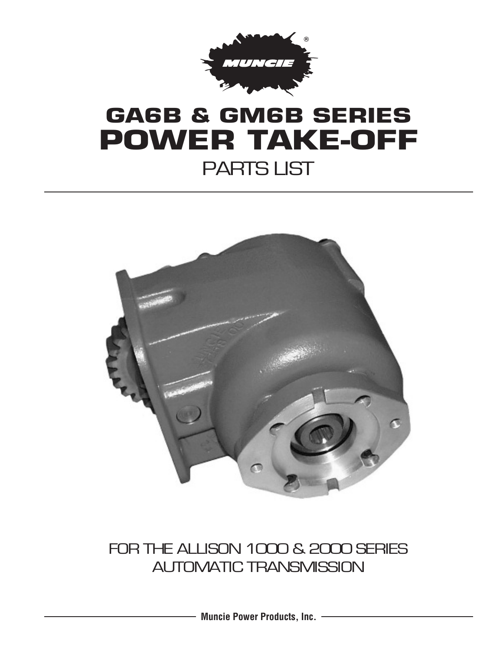

# **GA6B & GM6B SERIES POWER TAKE-OFF** PARTS LIST



### FOR THE ALLISON 1000 & 2000 SERIES AUTOMATIC TRANSMISSION

**Muncie Power Products, Inc.**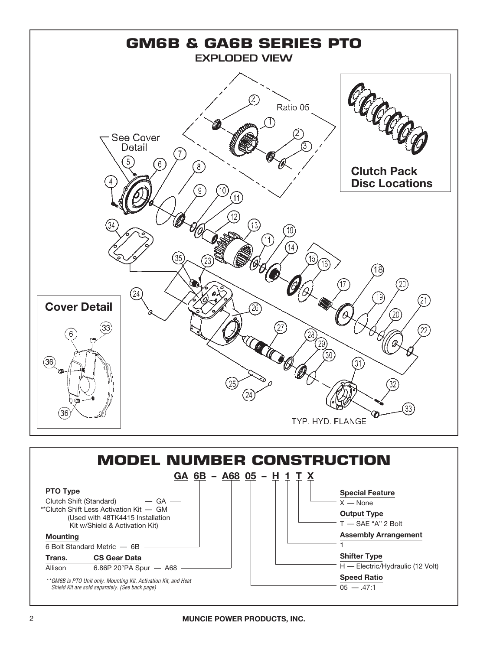

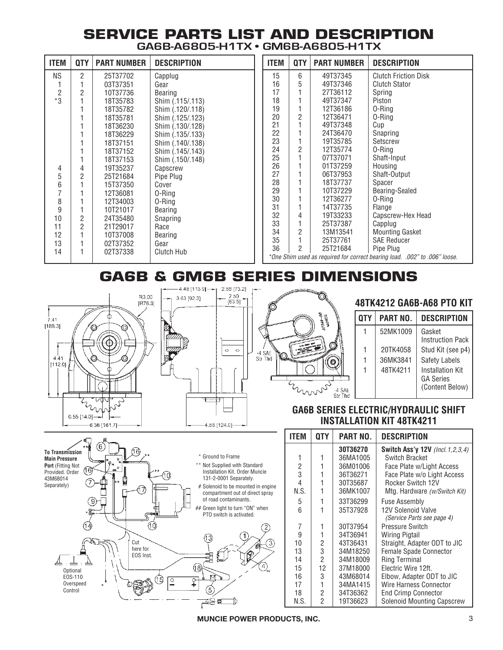### **SERVICE PARTS LIST AND DESCRIPTION GA6B-A6805-H1TX • GM6B-A6805-H1TX**

| <b>ITEM</b>    | <b>QTY</b>     | <b>PART NUMBER</b> | <b>DESCRIPTION</b> | IT          |
|----------------|----------------|--------------------|--------------------|-------------|
| <b>NS</b>      | 2              | 25T37702           | Capplug            |             |
| 1              | 1              | 03T37351           | Gear               |             |
| $\overline{2}$ | $\overline{2}$ | 10T37736           | Bearing            |             |
| $*3$           | 1              | 18T35783           | Shim (.115/.113)   |             |
|                | 1              | 18T35782           | Shim (.120/.118)   |             |
|                | 1              | 18T35781           | Shim (.125/.123)   |             |
|                | 1              | 18T36230           | Shim (.130/.128)   |             |
|                | 1              | 18T36229           | Shim (.135/.133)   |             |
|                | 1              | 18T37151           | Shim (.140/.138)   |             |
|                | 1              | 18T37152           | Shim (.145/.143)   |             |
|                | 1              | 18T37153           | Shim (.150/.148)   |             |
| 4              | 4              | 19T35237           | Capscrew           |             |
| 5              | 2              | 25T21684           | Pipe Plug          |             |
| 6              | 1              | 15T37350           | Cover              |             |
| $\overline{7}$ | 1              | 12T36081           | 0-Ring             |             |
| 8              | 1              | 12T34003           | 0-Ring             |             |
| 9              | 1              | 10T21017           | Bearing            |             |
| 10             | 2              | 24T35480           | Snapring           |             |
| 11             | $\overline{2}$ | 21T29017           | Race               |             |
| 12             | 1              | 10T37008           | Bearing            |             |
| 13             | 1              | 02T37352           | Gear               |             |
| 14             | 1              | 02T37338           | Clutch Hub         |             |
|                |                |                    |                    | $^{\ast}$ ( |

| <b>ITEM</b>                                                                | QTY            | <b>PART NUMBER</b> | <b>DESCRIPTION</b>          |  |  |
|----------------------------------------------------------------------------|----------------|--------------------|-----------------------------|--|--|
| 15                                                                         | 6              | 49T37345           | <b>Clutch Friction Disk</b> |  |  |
| 16                                                                         | 5              | 49T37346           | <b>Clutch Stator</b>        |  |  |
| 17                                                                         | 1              | 27T36112           | Spring                      |  |  |
| 18                                                                         | 1              | 49T37347           | Piston                      |  |  |
| 19                                                                         | 1              | 12T36186           | 0-Ring                      |  |  |
| 20                                                                         | $\overline{c}$ | 12T36471           | 0-Ring                      |  |  |
| 21                                                                         | 1              | 49T37348           | Cup                         |  |  |
| 22                                                                         | 1              | 24T36470           | Snapring                    |  |  |
| 23                                                                         | 1              | 19T35785           | Setscrew                    |  |  |
| 24                                                                         | $\overline{2}$ | 12T35774           | 0-Ring                      |  |  |
| 25                                                                         | 1              | 07T37071           | Shaft-Input                 |  |  |
| 26                                                                         | 1              | 01T37259           | Housing                     |  |  |
| 27                                                                         | 1              | 06T37953           | Shaft-Output                |  |  |
| 28                                                                         | $\mathbf{1}$   | 18T37737           | Spacer                      |  |  |
| 29                                                                         | 1              | 10T37229           | Bearing-Sealed              |  |  |
| 30                                                                         | 1              | 12T36277           | 0-Ring                      |  |  |
| 31                                                                         | 1              | 14T37735           | Flange                      |  |  |
| 32                                                                         | 4              | 19T33233           | Capscrew-Hex Head           |  |  |
| 33                                                                         | $\overline{1}$ | 25T37387           | Capplug                     |  |  |
| 34                                                                         | $\overline{c}$ | 13M13541           | <b>Mounting Gasket</b>      |  |  |
| 35                                                                         | $\overline{1}$ | 25T37761           | <b>SAE Reducer</b>          |  |  |
| 36                                                                         | $\mathfrak{p}$ | 25T21684           | Pipe Plug                   |  |  |
| *One Shim used as required for correct bearing load. .002" to .006" loose. |                |                    |                             |  |  |

## **GA6B & GM6B SERIES DIMENSIONS**



9  $\circledS$ 

(16)

Cut here for EOS Inst.

6

(10)

¢

 $^{\textcircled{\tiny{\textsf{1}}}}$ 

(টি  $\frac{0}{1}$ 

**To Transmission Main Pressure Port** (Fitting Not Provided. Order 43M68014 Separately)

> **Optional** EOS-110 Overspeed Control

⊥



3.63 [92.3]

(18)

 $\hat{+}$ 5 ┌≋≖



### **48TK4212 GA6B-A68 PTO KIT**

| QTY | PART NO. | <b>DESCRIPTION</b>                                             |
|-----|----------|----------------------------------------------------------------|
|     | 52MK1009 | Gasket<br><b>Instruction Pack</b>                              |
| 1   | 20TK4058 | Stud Kit (see p4)                                              |
| 1   | 36MK3841 | <b>Safety Labels</b>                                           |
| 1   | 48TK4211 | <b>Installation Kit</b><br><b>GA Series</b><br>(Content Below) |

#### **GA6B SERIES ELECTRIC/HYDRAULIC SHIFT INSTALLATION KIT 48TK4211**

|                                                                       | ITEM | 0TY            | <b>PART NO.</b> | <b>DESCRIPTION</b>                               |
|-----------------------------------------------------------------------|------|----------------|-----------------|--------------------------------------------------|
|                                                                       |      |                | 30T36270        | <b>Switch Ass'y 12V</b> (Incl. 1, 2, 3, 4)       |
| * Ground to Frame                                                     |      |                | 36MA1005        | Switch Bracket                                   |
| ** Not Supplied with Standard                                         | 2    |                | 36M01006        | Face Plate w/Light Access                        |
| Installation Kit. Order Muncie                                        | 3    |                | 36T36271        | Face Plate w/o Light Access                      |
| 131-2-0001 Separately.                                                | 4    |                | 30T35687        | Rocker Switch 12V                                |
| # Solenoid to be mounted in engine<br>compartment out of direct spray | N.S. |                | 36MK1007        | Mtg. Hardware (w/Switch Kit)                     |
| of road contaminants.                                                 | 5    |                | 33T36299        | <b>Fuse Assembly</b>                             |
| ## Green light to turn "ON" when<br>PTO switch is activated.          | 6    |                | 35T37928        | 12V Solenoid Valve<br>(Service Parts see page 4) |
|                                                                       | 7    |                | 30T37954        | Pressure Switch                                  |
|                                                                       | 9    |                | 34T36941        | <b>Wiring Pigtail</b>                            |
| (13)<br>$\mathcal{E}$                                                 | 10   | 2              | 43T36431        | Straight, Adapter ODT to JIC                     |
|                                                                       | 13   | 3              | 34M18250        | Female Spade Connector                           |
|                                                                       | 14   | $\overline{2}$ | 34M18009        | <b>Ring Terminal</b>                             |
| $(4)$ <sub>44</sub><br>8                                              | 15   | 12             | 37M18000        | Electric Wire 12ft.                              |
|                                                                       | 16   | 3              | 43M68014        | Elbow, Adapter ODT to JIC                        |
|                                                                       | 17   |                | 34MA1415        | Wire Harness Connector                           |
|                                                                       | 18   | $\overline{2}$ | 34T36362        | <b>End Crimp Connector</b>                       |
|                                                                       | N.S. | $\overline{2}$ | 19T36623        | <b>Solenoid Mounting Capscrew</b>                |

**MUNCIE POWER PRODUCTS, INC.** 3